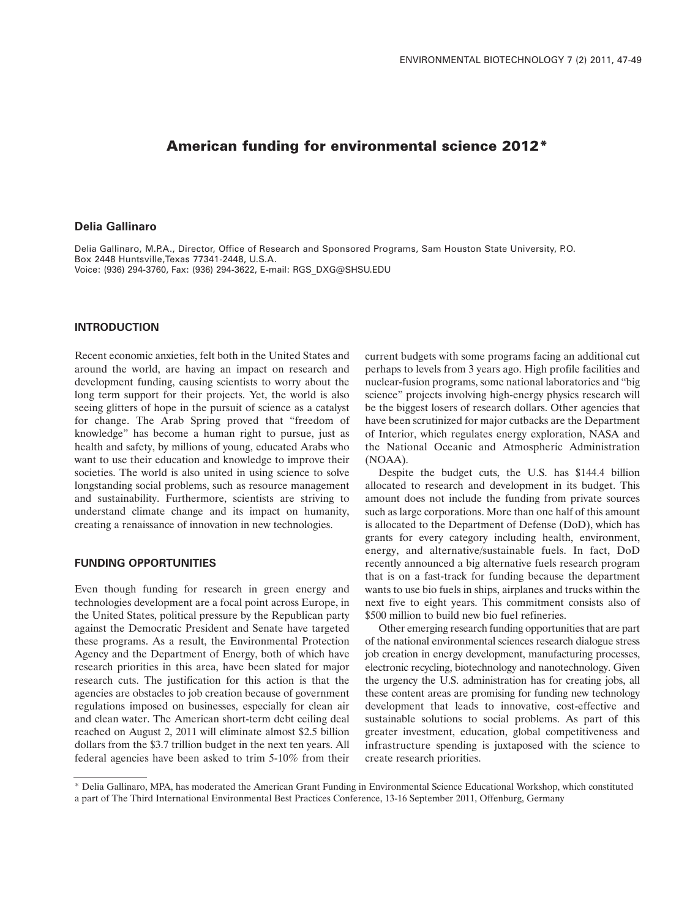# **American funding for environmental science 2012\***

# **Delia Gallinaro**

Delia Gallinaro, M.P.A., Director, Office of Research and Sponsored Programs, Sam Houston State University, P.O. Box 2448 Huntsville,Texas 77341-2448, U.S.A. Voice: (936) 294-3760, Fax: (936) 294-3622, E-mail: RGS\_DXG@SHSU.EDU

#### **INTRODUCTION**

Recent economic anxieties, felt both in the United States and around the world, are having an impact on research and development funding, causing scientists to worry about the long term support for their projects. Yet, the world is also seeing glitters of hope in the pursuit of science as a catalyst for change. The Arab Spring proved that "freedom of knowledge" has become a human right to pursue, just as health and safety, by millions of young, educated Arabs who want to use their education and knowledge to improve their societies. The world is also united in using science to solve longstanding social problems, such as resource management and sustainability. Furthermore, scientists are striving to understand climate change and its impact on humanity, creating a renaissance of innovation in new technologies.

# **FUNDING OPPORTUNITIES**

Even though funding for research in green energy and technologies development are a focal point across Europe, in the United States, political pressure by the Republican party against the Democratic President and Senate have targeted these programs. As a result, the Environmental Protection Agency and the Department of Energy, both of which have research priorities in this area, have been slated for major research cuts. The justification for this action is that the agencies are obstacles to job creation because of government regulations imposed on businesses, especially for clean air and clean water. The American short-term debt ceiling deal reached on August 2, 2011 will eliminate almost \$2.5 billion dollars from the \$3.7 trillion budget in the next ten years. All federal agencies have been asked to trim 5-10% from their

current budgets with some programs facing an additional cut perhaps to levels from 3 years ago. High profile facilities and nuclear-fusion programs, some national laboratories and "big science" projects involving high-energy physics research will be the biggest losers of research dollars. Other agencies that have been scrutinized for major cutbacks are the Department of Interior, which regulates energy exploration, NASA and the National Oceanic and Atmospheric Administration (NOAA).

Despite the budget cuts, the U.S. has \$144.4 billion allocated to research and development in its budget. This amount does not include the funding from private sources such as large corporations. More than one half of this amount is allocated to the Department of Defense (DoD), which has grants for every category including health, environment, energy, and alternative/sustainable fuels. In fact, DoD recently announced a big alternative fuels research program that is on a fast-track for funding because the department wants to use bio fuels in ships, airplanes and trucks within the next five to eight years. This commitment consists also of \$500 million to build new bio fuel refineries.

Other emerging research funding opportunities that are part of the national environmental sciences research dialogue stress job creation in energy development, manufacturing processes, electronic recycling, biotechnology and nanotechnology. Given the urgency the U.S. administration has for creating jobs, all these content areas are promising for funding new technology development that leads to innovative, cost-effective and sustainable solutions to social problems. As part of this greater investment, education, global competitiveness and infrastructure spending is juxtaposed with the science to create research priorities.

<sup>\*</sup> Delia Gallinaro, MPA, has moderated the American Grant Funding in Environmental Science Educational Workshop, which constituted a part of The Third International Environmental Best Practices Conference, 13-16 September 2011, Offenburg, Germany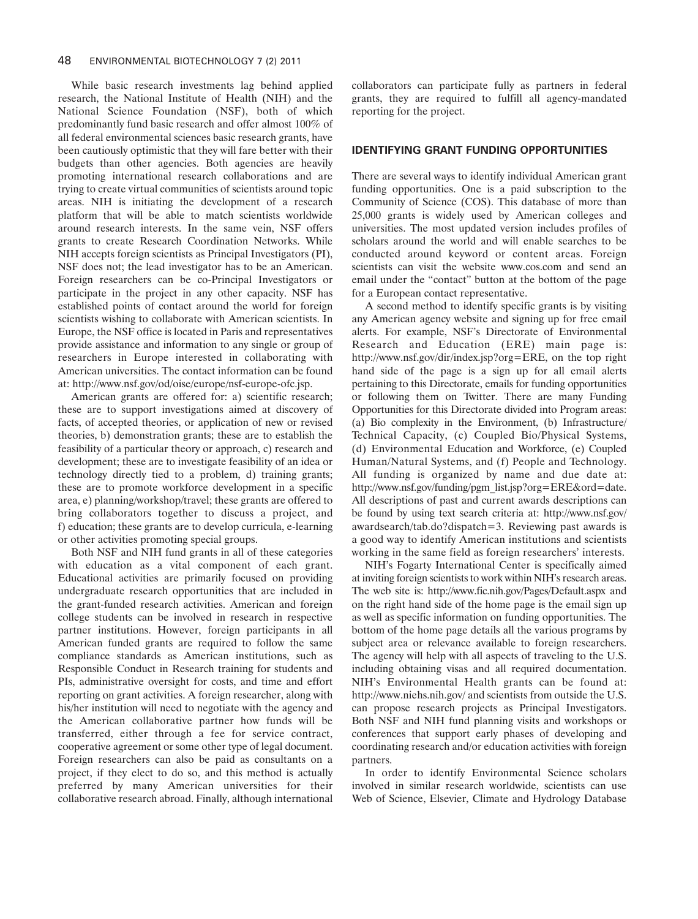While basic research investments lag behind applied research, the National Institute of Health (NIH) and the National Science Foundation (NSF), both of which predominantly fund basic research and offer almost 100% of all federal environmental sciences basic research grants, have been cautiously optimistic that they will fare better with their budgets than other agencies. Both agencies are heavily promoting international research collaborations and are trying to create virtual communities of scientists around topic areas. NIH is initiating the development of a research platform that will be able to match scientists worldwide around research interests. In the same vein, NSF offers grants to create Research Coordination Networks. While NIH accepts foreign scientists as Principal Investigators (PI), NSF does not; the lead investigator has to be an American. Foreign researchers can be co-Principal Investigators or participate in the project in any other capacity. NSF has established points of contact around the world for foreign scientists wishing to collaborate with American scientists. In Europe, the NSF office is located in Paris and representatives provide assistance and information to any single or group of researchers in Europe interested in collaborating with American universities. The contact information can be found at: http://www.nsf.gov/od/oise/europe/nsf-europe-ofc.jsp.

American grants are offered for: a) scientific research; these are to support investigations aimed at discovery of facts, of accepted theories, or application of new or revised theories, b) demonstration grants; these are to establish the feasibility of a particular theory or approach, c) research and development; these are to investigate feasibility of an idea or technology directly tied to a problem, d) training grants; these are to promote workforce development in a specific area, e) planning/workshop/travel; these grants are offered to bring collaborators together to discuss a project, and f) education; these grants are to develop curricula, e-learning or other activities promoting special groups.

Both NSF and NIH fund grants in all of these categories with education as a vital component of each grant. Educational activities are primarily focused on providing undergraduate research opportunities that are included in the grant-funded research activities. American and foreign college students can be involved in research in respective partner institutions. However, foreign participants in all American funded grants are required to follow the same compliance standards as American institutions, such as Responsible Conduct in Research training for students and PIs, administrative oversight for costs, and time and effort reporting on grant activities. A foreign researcher, along with his/her institution will need to negotiate with the agency and the American collaborative partner how funds will be transferred, either through a fee for service contract, cooperative agreement or some other type of legal document. Foreign researchers can also be paid as consultants on a project, if they elect to do so, and this method is actually preferred by many American universities for their collaborative research abroad. Finally, although international collaborators can participate fully as partners in federal grants, they are required to fulfill all agency-mandated reporting for the project.

# **IDENTIFYING GRANT FUNDING OPPORTUNITIES**

There are several ways to identify individual American grant funding opportunities. One is a paid subscription to the Community of Science (COS). This database of more than 25,000 grants is widely used by American colleges and universities. The most updated version includes profiles of scholars around the world and will enable searches to be conducted around keyword or content areas. Foreign scientists can visit the website www.cos.com and send an email under the "contact" button at the bottom of the page for a European contact representative.

A second method to identify specific grants is by visiting any American agency website and signing up for free email alerts. For example, NSF's Directorate of Environmental Research and Education (ERE) main page is: http://www.nsf.gov/dir/index.jsp?org=ERE, on the top right hand side of the page is a sign up for all email alerts pertaining to this Directorate, emails for funding opportunities or following them on Twitter. There are many Funding Opportunities for this Directorate divided into Program areas: (a) Bio complexity in the Environment, (b) Infrastructure/ Technical Capacity, (c) Coupled Bio/Physical Systems, (d) Environmental Education and Workforce, (e) Coupled Human/Natural Systems, and (f) People and Technology. All funding is organized by name and due date at: http://www.nsf.gov/funding/pgm\_list.jsp?org=ERE&ord=date. All descriptions of past and current awards descriptions can be found by using text search criteria at: http://www.nsf.gov/ awardsearch/tab.do?dispatch=3. Reviewing past awards is a good way to identify American institutions and scientists working in the same field as foreign researchers' interests.

NIH's Fogarty International Center is specifically aimed at inviting foreign scientists to work within NIH's research areas. The web site is: http://www.fic.nih.gov/Pages/Default.aspx and on the right hand side of the home page is the email sign up as well as specific information on funding opportunities. The bottom of the home page details all the various programs by subject area or relevance available to foreign researchers. The agency will help with all aspects of traveling to the U.S. including obtaining visas and all required documentation. NIH's Environmental Health grants can be found at: http://www.niehs.nih.gov/ and scientists from outside the U.S. can propose research projects as Principal Investigators. Both NSF and NIH fund planning visits and workshops or conferences that support early phases of developing and coordinating research and/or education activities with foreign partners.

In order to identify Environmental Science scholars involved in similar research worldwide, scientists can use Web of Science, Elsevier, Climate and Hydrology Database